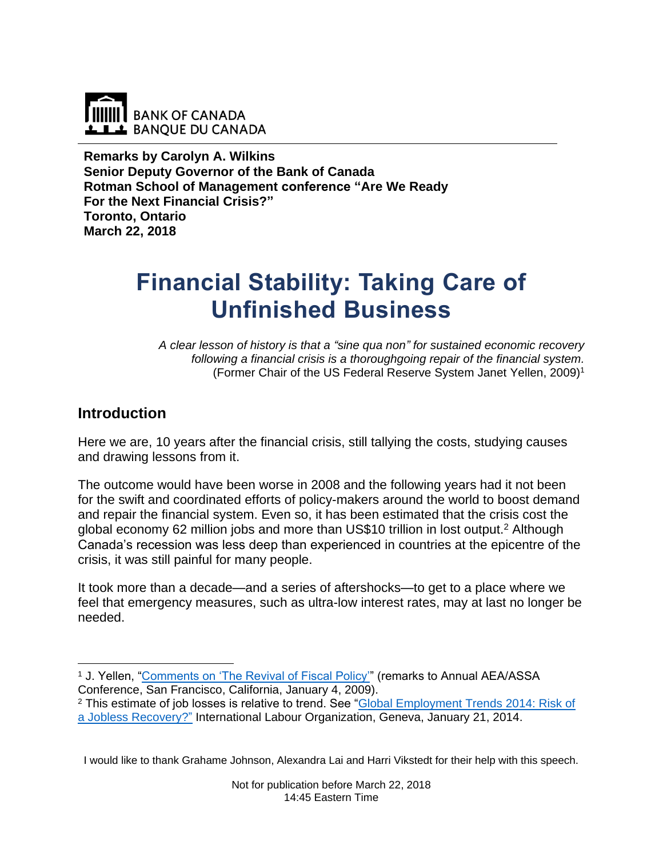

**Remarks by Carolyn A. Wilkins Senior Deputy Governor of the Bank of Canada Rotman School of Management conference "Are We Ready For the Next Financial Crisis?" Toronto, Ontario March 22, 2018**

# **Financial Stability: Taking Care of Unfinished Business**

*A clear lesson of history is that a "sine qua non" for sustained economic recovery following a financial crisis is a thoroughgoing repair of the financial system.* (Former Chair of the US Federal Reserve System Janet Yellen, 2009) 1

### **Introduction**

Here we are, 10 years after the financial crisis, still tallying the costs, studying causes and drawing lessons from it.

The outcome would have been worse in 2008 and the following years had it not been for the swift and coordinated efforts of policy-makers around the world to boost demand and repair the financial system. Even so, it has been estimated that the crisis cost the global economy 62 million jobs and more than US\$10 trillion in lost output.<sup>2</sup> Although Canada's recession was less deep than experienced in countries at the epicentre of the crisis, it was still painful for many people.

It took more than a decade—and a series of aftershocks—to get to a place where we feel that emergency measures, such as ultra-low interest rates, may at last no longer be needed.

I would like to thank Grahame Johnson, Alexandra Lai and Harri Vikstedt for their help with this speech.

 $\overline{a}$ <sup>1</sup> J. Yellen, "Comments on 'The Revival of Fiscal Policy" (remarks to Annual AEA/ASSA Conference, San Francisco, California, January 4, 2009).

<sup>2</sup> This estimate of job losses is relative to trend. See ["Global Employment Trends 2014: Risk of](http://www.ilo.org/global/research/global-reports/global-employment-trends/2014/lang--en/index.htm)  [a Jobless Recovery?"](http://www.ilo.org/global/research/global-reports/global-employment-trends/2014/lang--en/index.htm) International Labour Organization, Geneva, January 21, 2014.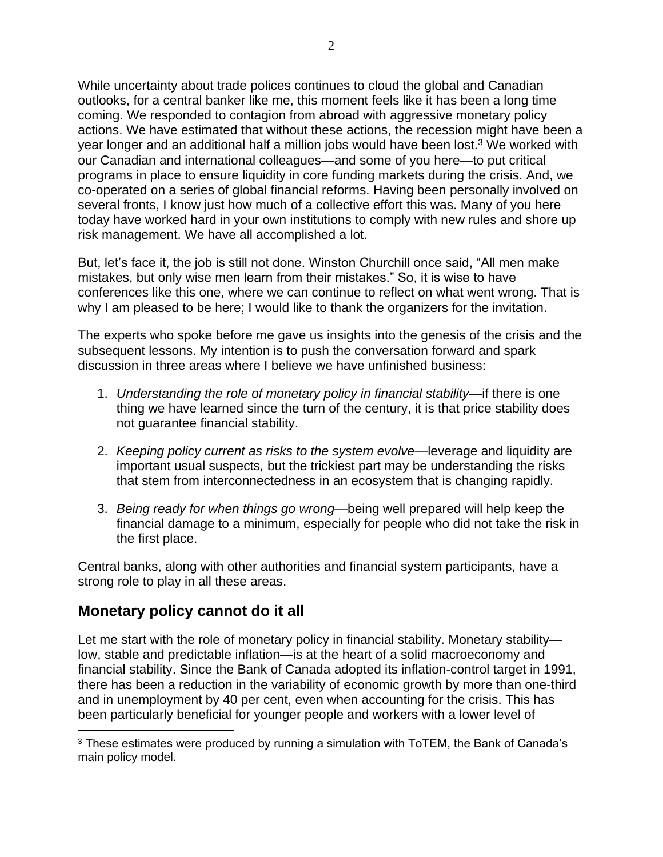While uncertainty about trade polices continues to cloud the global and Canadian outlooks, for a central banker like me, this moment feels like it has been a long time coming. We responded to contagion from abroad with aggressive monetary policy actions. We have estimated that without these actions, the recession might have been a year longer and an additional half a million jobs would have been lost.<sup>3</sup> We worked with our Canadian and international colleagues—and some of you here—to put critical programs in place to ensure liquidity in core funding markets during the crisis. And, we co-operated on a series of global financial reforms. Having been personally involved on several fronts, I know just how much of a collective effort this was. Many of you here today have worked hard in your own institutions to comply with new rules and shore up risk management. We have all accomplished a lot.

But, let's face it, the job is still not done. Winston Churchill once said, "All men make mistakes, but only wise men learn from their mistakes." So, it is wise to have conferences like this one, where we can continue to reflect on what went wrong. That is why I am pleased to be here; I would like to thank the organizers for the invitation.

The experts who spoke before me gave us insights into the genesis of the crisis and the subsequent lessons. My intention is to push the conversation forward and spark discussion in three areas where I believe we have unfinished business:

- 1. *Understanding the role of monetary policy in financial stability*—if there is one thing we have learned since the turn of the century, it is that price stability does not guarantee financial stability.
- 2. *Keeping policy current as risks to the system evolve—*leverage and liquidity are important usual suspects*,* but the trickiest part may be understanding the risks that stem from interconnectedness in an ecosystem that is changing rapidly.
- 3. *Being ready for when things go wrong*—being well prepared will help keep the financial damage to a minimum, especially for people who did not take the risk in the first place.

Central banks, along with other authorities and financial system participants, have a strong role to play in all these areas.

## **Monetary policy cannot do it all**

 $\overline{a}$ 

Let me start with the role of monetary policy in financial stability. Monetary stability low, stable and predictable inflation—is at the heart of a solid macroeconomy and financial stability. Since the Bank of Canada adopted its inflation-control target in 1991, there has been a reduction in the variability of economic growth by more than one-third and in unemployment by 40 per cent, even when accounting for the crisis. This has been particularly beneficial for younger people and workers with a lower level of

<sup>&</sup>lt;sup>3</sup> These estimates were produced by running a simulation with ToTEM, the Bank of Canada's main policy model.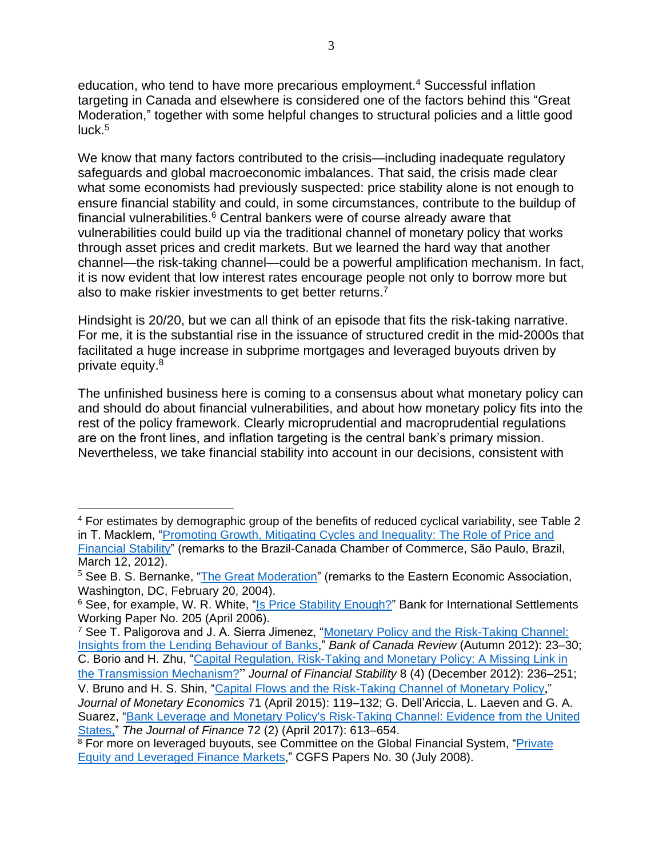education, who tend to have more precarious employment.<sup>4</sup> Successful inflation targeting in Canada and elsewhere is considered one of the factors behind this "Great Moderation," together with some helpful changes to structural policies and a little good luck. 5

We know that many factors contributed to the crisis—including inadequate regulatory safeguards and global macroeconomic imbalances. That said, the crisis made clear what some economists had previously suspected: price stability alone is not enough to ensure financial stability and could, in some circumstances, contribute to the buildup of financial vulnerabilities. $6$  Central bankers were of course already aware that vulnerabilities could build up via the traditional channel of monetary policy that works through asset prices and credit markets. But we learned the hard way that another channel—the risk-taking channel—could be a powerful amplification mechanism. In fact, it is now evident that low interest rates encourage people not only to borrow more but also to make riskier investments to get better returns.<sup>7</sup>

Hindsight is 20/20, but we can all think of an episode that fits the risk-taking narrative. For me, it is the substantial rise in the issuance of structured credit in the mid-2000s that facilitated a huge increase in subprime mortgages and leveraged buyouts driven by private equity. 8

The unfinished business here is coming to a consensus about what monetary policy can and should do about financial vulnerabilities, and about how monetary policy fits into the rest of the policy framework. Clearly microprudential and macroprudential regulations are on the front lines, and inflation targeting is the central bank's primary mission. Nevertheless, we take financial stability into account in our decisions, consistent with

<sup>4</sup> For estimates by demographic group of the benefits of reduced cyclical variability, see Table 2 in T. Macklem, "Promoting Growth, Mitigating Cycles and Inequality: The Role of Price and [Financial Stability"](https://www.bankofcanada.ca/2012/03/promoting-growth-mitigating-cycles-and-inequality/) (remarks to the Brazil-Canada Chamber of Commerce, São Paulo, Brazil, March 12, 2012).

<sup>&</sup>lt;sup>5</sup> See B. S. Bernanke, ["The Great Moderation"](https://www.federalreserve.gov/boarddocs/speeches/2004/20040220/) (remarks to the Eastern Economic Association, Washington, DC, February 20, 2004).

<sup>&</sup>lt;sup>6</sup> See, for example, W. R. White, ["Is Price Stability Enough?"](https://www.bis.org/publ/work205.pdf) Bank for International Settlements Working Paper No. 205 (April 2006).

<sup>&</sup>lt;sup>7</sup> See T. Paligorova and J. A. Sierra Jimenez, "Monetary Policy and the Risk-Taking Channel: [Insights from the Lending Behaviour of Banks,](https://www.bankofcanada.ca/wp-content/uploads/2012/11/boc-review-autumn12-paligorova.pdf)" *Bank of Canada Review* (Autumn 2012): 23–30; C. Borio and H. Zhu, ["Capital Regulation, Risk-Taking and Monetary Policy:](https://www.sciencedirect.com/science/article/pii/S1572308911000611) A Missing Link in

[the Transmission Mechanism?](https://www.sciencedirect.com/science/article/pii/S1572308911000611)" *Journal of Financial Stability* 8 (4) (December 2012): 236–251; V. Bruno and H. S. Shin, ["Capital Flows and the Risk-Taking Channel of Monetary Policy](https://www.sciencedirect.com/science/article/pii/S0304393214001688),"

*Journal of Monetary Economics* 71 (April 2015): 119–132; G. Dell'Ariccia, L. Laeven and G. A. Suarez, ["Bank Leverage and Monetary Policy's Risk-Taking Channel: Evidence from the United](https://onlinelibrary.wiley.com/doi/epdf/10.1111/jofi.12467)  [States,](https://onlinelibrary.wiley.com/doi/epdf/10.1111/jofi.12467)" *The Journal of Finance* 72 (2) (April 2017): 613–654.

<sup>&</sup>lt;sup>8</sup> For more on leveraged buyouts, see Committee on the Global Financial System, "Private [Equity and Leveraged](https://www.bis.org/publ/cgfs30.pdf) Finance Markets," CGFS Papers No. 30 (July 2008).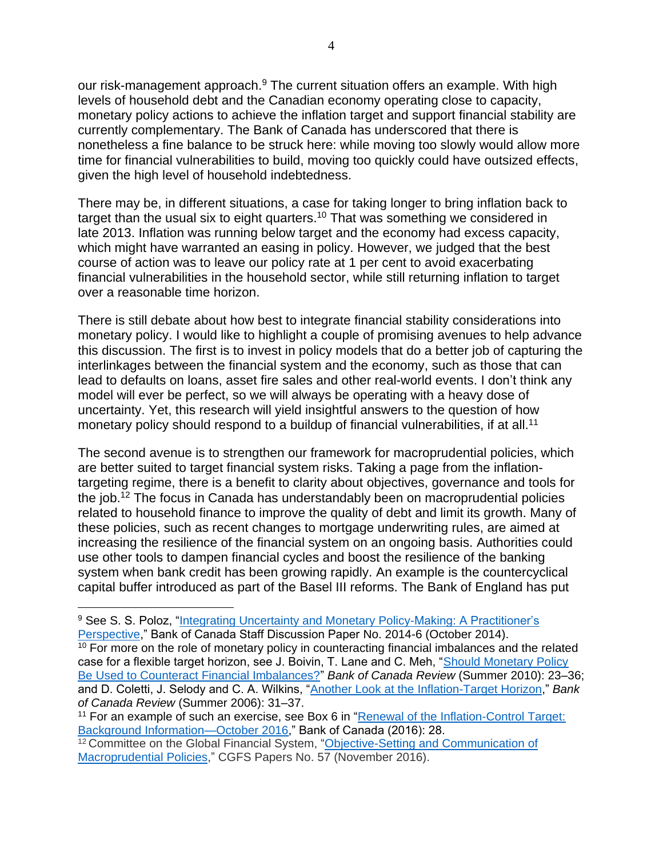our risk-management approach.<sup>9</sup> The current situation offers an example. With high levels of household debt and the Canadian economy operating close to capacity, monetary policy actions to achieve the inflation target and support financial stability are currently complementary. The Bank of Canada has underscored that there is nonetheless a fine balance to be struck here: while moving too slowly would allow more time for financial vulnerabilities to build, moving too quickly could have outsized effects, given the high level of household indebtedness.

There may be, in different situations, a case for taking longer to bring inflation back to target than the usual six to eight quarters.<sup>10</sup> That was something we considered in late 2013. Inflation was running below target and the economy had excess capacity, which might have warranted an easing in policy. However, we judged that the best course of action was to leave our policy rate at 1 per cent to avoid exacerbating financial vulnerabilities in the household sector, while still returning inflation to target over a reasonable time horizon.

There is still debate about how best to integrate financial stability considerations into monetary policy. I would like to highlight a couple of promising avenues to help advance this discussion. The first is to invest in policy models that do a better job of capturing the interlinkages between the financial system and the economy, such as those that can lead to defaults on loans, asset fire sales and other real-world events. I don't think any model will ever be perfect, so we will always be operating with a heavy dose of uncertainty. Yet, this research will yield insightful answers to the question of how monetary policy should respond to a buildup of financial vulnerabilities, if at all.<sup>11</sup>

The second avenue is to strengthen our framework for macroprudential policies, which are better suited to target financial system risks. Taking a page from the inflationtargeting regime, there is a benefit to clarity about objectives, governance and tools for the job. <sup>12</sup> The focus in Canada has understandably been on macroprudential policies related to household finance to improve the quality of debt and limit its growth. Many of these policies, such as recent changes to mortgage underwriting rules, are aimed at increasing the resilience of the financial system on an ongoing basis. Authorities could use other tools to dampen financial cycles and boost the resilience of the banking system when bank credit has been growing rapidly. An example is the countercyclical capital buffer introduced as part of the Basel III reforms. The Bank of England has put

<sup>9</sup> See S. S. Poloz, ["Integrating Uncertainty and Monetary Policy-Making: A Practitioner's](https://www.bankofcanada.ca/2014/10/discussion-paper-2014-6/)  [Perspective,](https://www.bankofcanada.ca/2014/10/discussion-paper-2014-6/)" Bank of Canada Staff Discussion Paper No. 2014-6 (October 2014). <sup>10</sup> For more on the role of monetary policy in counteracting financial imbalances and the related case for a flexible target horizon, see J. Boivin, T. Lane and C. Meh, ["Should Monetary Policy](https://www.bankofcanada.ca/wp-content/uploads/2010/09/boivin_summer10.pdf)  [Be Used to Counteract Financial Imbalances?"](https://www.bankofcanada.ca/wp-content/uploads/2010/09/boivin_summer10.pdf) *Bank of Canada Review* (Summer 2010): 23–36; and D. Coletti, J. Selody and C. A. Wilkins, "Another Look at the [Inflation-Target Horizon,](https://www.bankofcanada.ca/wp-content/uploads/2010/06/coletti1.pdf)" *Bank of Canada Review* (Summer 2006): 31–37.

<sup>&</sup>lt;sup>11</sup> For an example of such an exercise, see Box 6 in "Renewal of the Inflation-Control Target: [Background Information—October 2016,](https://www.bankofcanada.ca/wp-content/uploads/2016/10/background_nov11.pdf)" Bank of Canada (2016): 28.

<sup>&</sup>lt;sup>12</sup> Committee on the Global Financial System, "Objective-Setting and Communication of [Macroprudential Policies,](https://www.bis.org/publ/cgfs57.pdf)" CGFS Papers No. 57 (November 2016).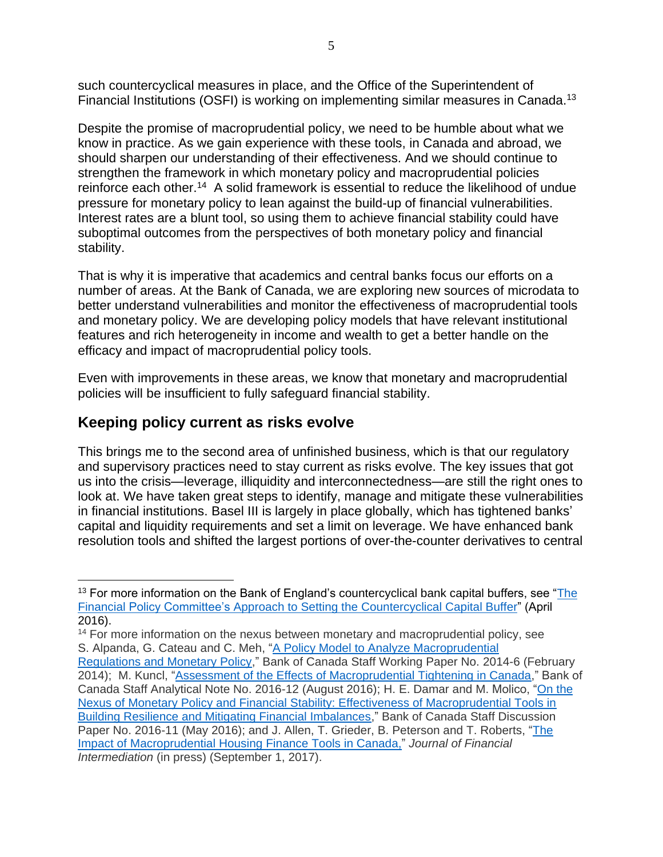such countercyclical measures in place, and the Office of the Superintendent of Financial Institutions (OSFI) is working on implementing similar measures in Canada.<sup>13</sup>

Despite the promise of macroprudential policy, we need to be humble about what we know in practice. As we gain experience with these tools, in Canada and abroad, we should sharpen our understanding of their effectiveness. And we should continue to strengthen the framework in which monetary policy and macroprudential policies reinforce each other.<sup>14</sup> A solid framework is essential to reduce the likelihood of undue pressure for monetary policy to lean against the build-up of financial vulnerabilities. Interest rates are a blunt tool, so using them to achieve financial stability could have suboptimal outcomes from the perspectives of both monetary policy and financial stability.

That is why it is imperative that academics and central banks focus our efforts on a number of areas. At the Bank of Canada, we are exploring new sources of microdata to better understand vulnerabilities and monitor the effectiveness of macroprudential tools and monetary policy. We are developing policy models that have relevant institutional features and rich heterogeneity in income and wealth to get a better handle on the efficacy and impact of macroprudential policy tools.

Even with improvements in these areas, we know that monetary and macroprudential policies will be insufficient to fully safeguard financial stability.

## **Keeping policy current as risks evolve**

 $\overline{a}$ 

This brings me to the second area of unfinished business, which is that our regulatory and supervisory practices need to stay current as risks evolve. The key issues that got us into the crisis—leverage, illiquidity and interconnectedness—are still the right ones to look at. We have taken great steps to identify, manage and mitigate these vulnerabilities in financial institutions. Basel III is largely in place globally, which has tightened banks' capital and liquidity requirements and set a limit on leverage. We have enhanced bank resolution tools and shifted the largest portions of over-the-counter derivatives to central

<sup>&</sup>lt;sup>13</sup> For more information on the Bank of England's countercyclical bank capital buffers, see "The [Financial Policy Committee's Approach to Setting the Countercyclical Capital Buffer"](https://www.bankofengland.co.uk/-/media/boe/files/statement/2016/the-financial-policy-committees-approach-to-setting-the-countercyclical-capital-buffer.pdf?la=en&hash=DE1BDDDA9A8628694A5881D6559DE782AFF3A7B1) (April 2016).

<sup>&</sup>lt;sup>14</sup> For more information on the nexus between monetary and macroprudential policy, see S. Alpanda, G. Cateau and C. Meh, ["A Policy Model to Analyze Macroprudential](https://www.bankofcanada.ca/wp-content/uploads/2014/02/wp2014-6.pdf) [Regulations and Monetary Policy,](https://www.bankofcanada.ca/wp-content/uploads/2014/02/wp2014-6.pdf)" Bank of Canada Staff Working Paper No. 2014-6 (February 2014); M. Kuncl, ["Assessment of the Effects of Macroprudential Tightening in Canada,](https://www.bankofcanada.ca/wp-content/uploads/2016/08/san2016-12.pdf)" Bank of Canada Staff Analytical Note No. 2016-12 (August 2016); H. E. Damar and M. Molico, ["On the](https://www.bankofcanada.ca/2016/05/staff-discussion-paper-2016-11/)  [Nexus of Monetary Policy and Financial Stability: Effectiveness of Macroprudential Tools in](https://www.bankofcanada.ca/2016/05/staff-discussion-paper-2016-11/)  [Building Resilience and Mitigating Financial Imbalances,](https://www.bankofcanada.ca/2016/05/staff-discussion-paper-2016-11/)" Bank of Canada Staff Discussion Paper No. 2016-11 (May 2016); and J. Allen, T. Grieder, B. Peterson and T. Roberts, ["The](https://www.sciencedirect.com/science/article/pii/S1042957317300529)  [Impact of Macroprudential Housing Finance Tools in Canada,](https://www.sciencedirect.com/science/article/pii/S1042957317300529)" *Journal of Financial Intermediation* (in press) (September 1, 2017).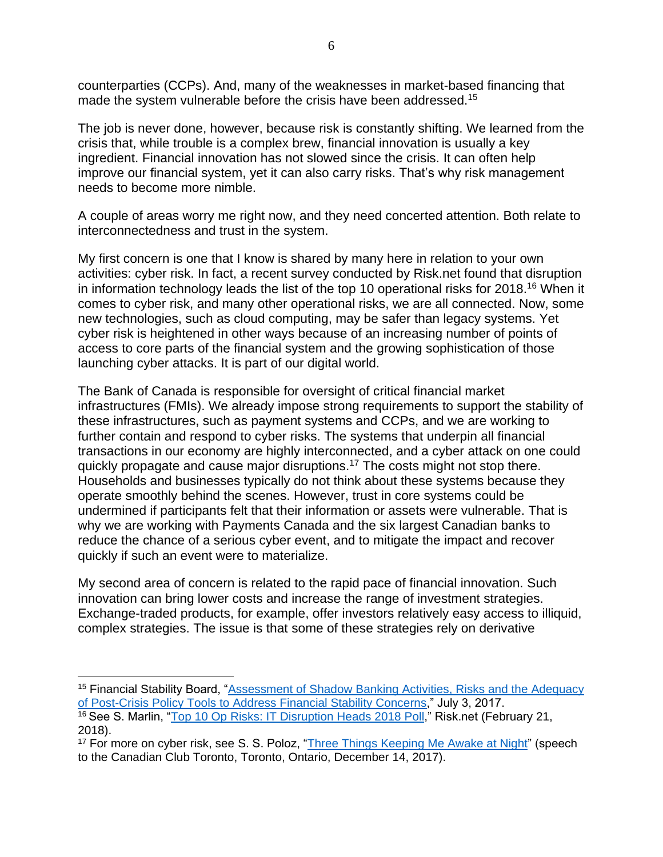counterparties (CCPs). And, many of the weaknesses in market-based financing that made the system vulnerable before the crisis have been addressed.<sup>15</sup>

The job is never done, however, because risk is constantly shifting. We learned from the crisis that, while trouble is a complex brew, financial innovation is usually a key ingredient. Financial innovation has not slowed since the crisis. It can often help improve our financial system, yet it can also carry risks. That's why risk management needs to become more nimble.

A couple of areas worry me right now, and they need concerted attention. Both relate to interconnectedness and trust in the system.

My first concern is one that I know is shared by many here in relation to your own activities: cyber risk. In fact, a recent survey conducted by Risk.net found that disruption in information technology leads the list of the top 10 operational risks for 2018.<sup>16</sup> When it comes to cyber risk, and many other operational risks, we are all connected. Now, some new technologies, such as cloud computing, may be safer than legacy systems. Yet cyber risk is heightened in other ways because of an increasing number of points of access to core parts of the financial system and the growing sophistication of those launching cyber attacks. It is part of our digital world.

The Bank of Canada is responsible for oversight of critical financial market infrastructures (FMIs). We already impose strong requirements to support the stability of these infrastructures, such as payment systems and CCPs, and we are working to further contain and respond to cyber risks. The systems that underpin all financial transactions in our economy are highly interconnected, and a cyber attack on one could quickly propagate and cause major disruptions. <sup>17</sup> The costs might not stop there. Households and businesses typically do not think about these systems because they operate smoothly behind the scenes. However, trust in core systems could be undermined if participants felt that their information or assets were vulnerable. That is why we are working with Payments Canada and the six largest Canadian banks to reduce the chance of a serious cyber event, and to mitigate the impact and recover quickly if such an event were to materialize.

My second area of concern is related to the rapid pace of financial innovation. Such innovation can bring lower costs and increase the range of investment strategies. Exchange-traded products, for example, offer investors relatively easy access to illiquid, complex strategies. The issue is that some of these strategies rely on derivative

<sup>&</sup>lt;sup>15</sup> Financial Stability Board, ["Assessment of Shadow Banking Activities, Risks and the Adequacy](http://www.fsb.org/wp-content/uploads/P300617-1.pdf) [of Post-Crisis Policy Tools to Address Financial Stability Concerns,](http://www.fsb.org/wp-content/uploads/P300617-1.pdf)" July 3, 2017. <sup>16</sup> See S. Marlin, "Top 10 Op [Risks: IT Disruption Heads 2018 Poll,](https://www.risk.net/risk-management/5426111/top-10-op-risks-it-disruption-tops-2018-poll)" Risk.net (February 21, 2018).

<sup>&</sup>lt;sup>17</sup> For more on cyber risk, see S. S. Poloz, ["Three Things Keeping Me Awake at Night"](https://www.bankofcanada.ca/2017/12/three-things-keeping-me-awake-at-night/) (speech to the Canadian Club Toronto, Toronto, Ontario, December 14, 2017).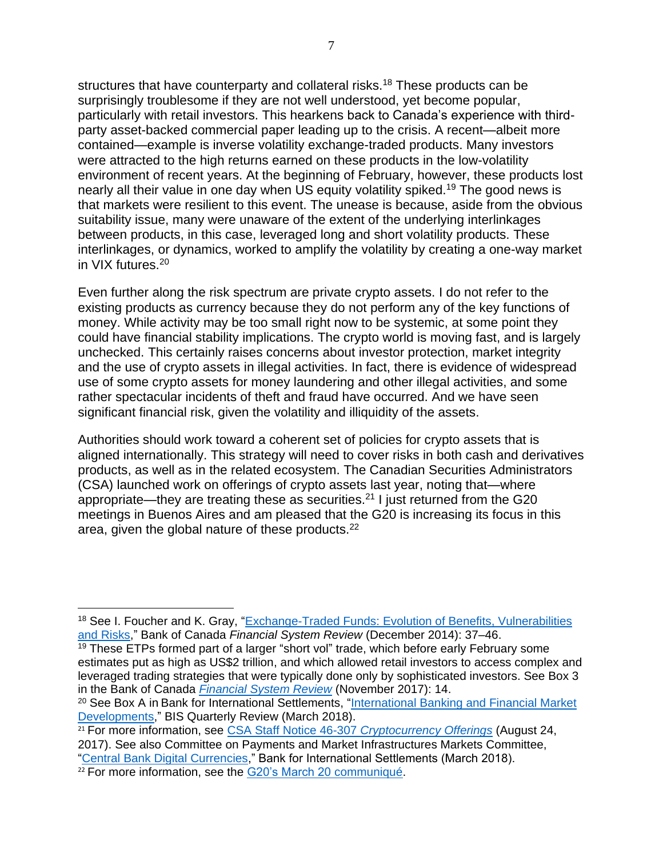structures that have counterparty and collateral risks.<sup>18</sup> These products can be surprisingly troublesome if they are not well understood, yet become popular, particularly with retail investors. This hearkens back to Canada's experience with thirdparty asset-backed commercial paper leading up to the crisis. A recent—albeit more contained—example is inverse volatility exchange-traded products. Many investors were attracted to the high returns earned on these products in the low-volatility environment of recent years. At the beginning of February, however, these products lost nearly all their value in one day when US equity volatility spiked.<sup>19</sup> The good news is that markets were resilient to this event. The unease is because, aside from the obvious suitability issue, many were unaware of the extent of the underlying interlinkages between products, in this case, leveraged long and short volatility products. These interlinkages, or dynamics, worked to amplify the volatility by creating a one-way market in VIX futures.<sup>20</sup>

Even further along the risk spectrum are private crypto assets. I do not refer to the existing products as currency because they do not perform any of the key functions of money. While activity may be too small right now to be systemic, at some point they could have financial stability implications. The crypto world is moving fast, and is largely unchecked. This certainly raises concerns about investor protection, market integrity and the use of crypto assets in illegal activities. In fact, there is evidence of widespread use of some crypto assets for money laundering and other illegal activities, and some rather spectacular incidents of theft and fraud have occurred. And we have seen significant financial risk, given the volatility and illiquidity of the assets.

Authorities should work toward a coherent set of policies for crypto assets that is aligned internationally. This strategy will need to cover risks in both cash and derivatives products, as well as in the related ecosystem. The Canadian Securities Administrators (CSA) launched work on offerings of crypto assets last year, noting that—where appropriate—they are treating these as securities.<sup>21</sup> I just returned from the G20 meetings in Buenos Aires and am pleased that the G20 is increasing its focus in this area, given the global nature of these products.<sup>22</sup>

<sup>&</sup>lt;sup>18</sup> See I. Foucher and K. Gray, "Exchange-Traded Funds: Evolution of Benefits, Vulnerabilities [and Risks,](https://www.bankofcanada.ca/wp-content/uploads/2014/12/fsr-december14-foucher.pdf)" Bank of Canada *Financial System Review* (December 2014): 37–46.

 $19$  These ETPs formed part of a larger "short vol" trade, which before early February some estimates put as high as US\$2 trillion, and which allowed retail investors to access complex and leveraged trading strategies that were typically done only by sophisticated investors. See Box 3 in the Bank of Canada *[Financial System Review](https://www.bankofcanada.ca/wp-content/uploads/2017/11/fsr-november2017.pdf)* (November 2017): 14.

<sup>&</sup>lt;sup>20</sup> See Box A in Bank for International Settlements, "International Banking and Financial Market [Developments,](https://www.bis.org/publ/qtrpdf/r_qt1803.pdf)" BIS Quarterly Review (March 2018).

<sup>21</sup> For more information, see [CSA Staff Notice 46-307](http://osc.gov.on.ca/en/SecuritiesLaw_csa_20170824_cryptocurrency-offerings.htm) *Cryptocurrency Offerings* (August 24, 2017). See also Committee on Payments and Market Infrastructures Markets Committee, ["Central Bank Digital Currencies,](https://www.bis.org/cpmi/publ/d174.pdf)" Bank for International Settlements (March 2018).

<sup>&</sup>lt;sup>22</sup> For more information, see the [G20's March 20](https://g20.org/en/news/communique-first-g20-meeting-finance-ministers-and-central-bank-governors-2018) communiqué.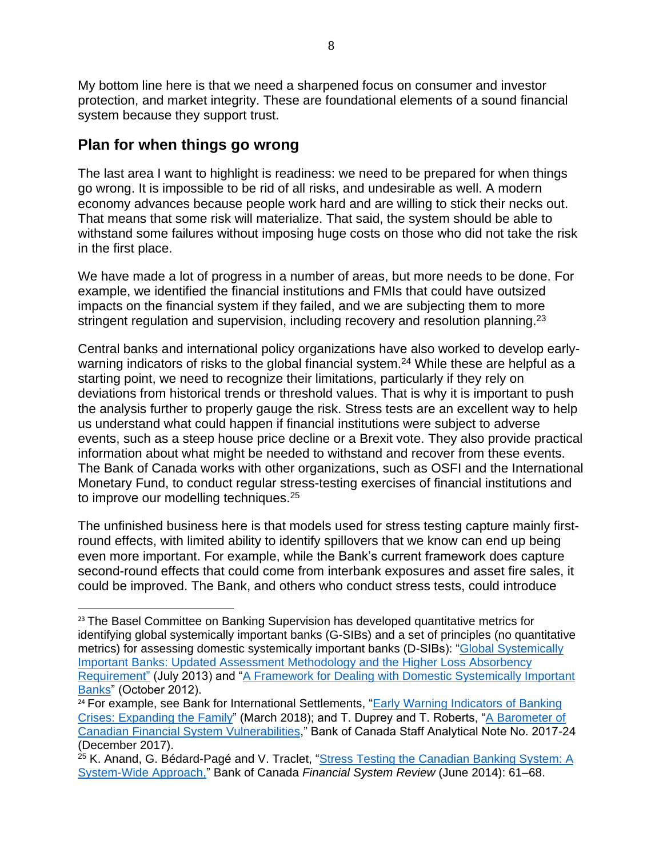My bottom line here is that we need a sharpened focus on consumer and investor protection, and market integrity. These are foundational elements of a sound financial system because they support trust.

## **Plan for when things go wrong**

 $\overline{a}$ 

The last area I want to highlight is readiness: we need to be prepared for when things go wrong. It is impossible to be rid of all risks, and undesirable as well. A modern economy advances because people work hard and are willing to stick their necks out. That means that some risk will materialize. That said, the system should be able to withstand some failures without imposing huge costs on those who did not take the risk in the first place.

We have made a lot of progress in a number of areas, but more needs to be done. For example, we identified the financial institutions and FMIs that could have outsized impacts on the financial system if they failed, and we are subjecting them to more stringent regulation and supervision, including recovery and resolution planning.<sup>23</sup>

Central banks and international policy organizations have also worked to develop earlywarning indicators of risks to the global financial system.<sup>24</sup> While these are helpful as a starting point, we need to recognize their limitations, particularly if they rely on deviations from historical trends or threshold values. That is why it is important to push the analysis further to properly gauge the risk. Stress tests are an excellent way to help us understand what could happen if financial institutions were subject to adverse events, such as a steep house price decline or a Brexit vote. They also provide practical information about what might be needed to withstand and recover from these events. The Bank of Canada works with other organizations, such as OSFI and the International Monetary Fund, to conduct regular stress-testing exercises of financial institutions and to improve our modelling techniques.<sup>25</sup>

The unfinished business here is that models used for stress testing capture mainly firstround effects, with limited ability to identify spillovers that we know can end up being even more important. For example, while the Bank's current framework does capture second-round effects that could come from interbank exposures and asset fire sales, it could be improved. The Bank, and others who conduct stress tests, could introduce

<sup>&</sup>lt;sup>23</sup> The Basel Committee on Banking Supervision has developed quantitative metrics for identifying global systemically important banks (G-SIBs) and a set of principles (no quantitative metrics) for assessing domestic systemically important banks (D-SIBs): "Global Systemically [Important Banks: Updated Assessment Methodology](https://www.bis.org/publ/bcbs255.pdf) and the Higher Loss Absorbency [Requirement"](https://www.bis.org/publ/bcbs255.pdf) (July 2013) and ["A Framework for Dealing with Domestic Systemically Important](https://www.bis.org/publ/bcbs233.pdf)  [Banks"](https://www.bis.org/publ/bcbs233.pdf) (October 2012).

<sup>&</sup>lt;sup>24</sup> For example, see Bank for International Settlements, "Early Warning Indicators of Banking [Crises: Expanding the Family"](https://www.bis.org/publ/qtrpdf/r_qt1803e.htm) (March 2018); and T. Duprey and T. Roberts, ["A Barometer of](https://www.bankofcanada.ca/wp-content/uploads/2017/12/san2017-24.pdf)  [Canadian Financial System Vulnerabilities,](https://www.bankofcanada.ca/wp-content/uploads/2017/12/san2017-24.pdf)" Bank of Canada Staff Analytical Note No. 2017-24 (December 2017).

<sup>&</sup>lt;sup>25</sup> K. Anand, G. Bédard-Pagé and V. Traclet, ["Stress Testing the Canadian Banking System: A](http://www.bankofcanada.ca/wp-content/uploads/2014/06/fsr-june2014-anand.pdf) [System-Wide Approach,](http://www.bankofcanada.ca/wp-content/uploads/2014/06/fsr-june2014-anand.pdf)" Bank of Canada *Financial System Review* (June 2014): 61–68.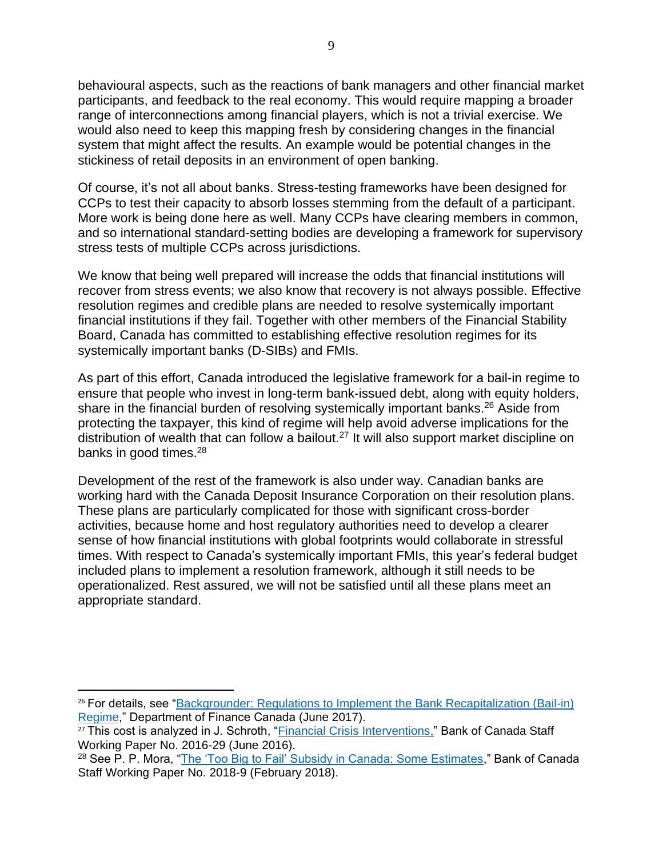behavioural aspects, such as the reactions of bank managers and other financial market participants, and feedback to the real economy. This would require mapping a broader range of interconnections among financial players, which is not a trivial exercise. We would also need to keep this mapping fresh by considering changes in the financial system that might affect the results. An example would be potential changes in the stickiness of retail deposits in an environment of open banking.

Of course, it's not all about banks. Stress-testing frameworks have been designed for CCPs to test their capacity to absorb losses stemming from the default of a participant. More work is being done here as well. Many CCPs have clearing members in common, and so international standard-setting bodies are developing a framework for supervisory stress tests of multiple CCPs across jurisdictions.

We know that being well prepared will increase the odds that financial institutions will recover from stress events; we also know that recovery is not always possible. Effective resolution regimes and credible plans are needed to resolve systemically important financial institutions if they fail. Together with other members of the Financial Stability Board, Canada has committed to establishing effective resolution regimes for its systemically important banks (D-SIBs) and FMIs.

As part of this effort, Canada introduced the legislative framework for a bail-in regime to ensure that people who invest in long-term bank-issued debt, along with equity holders, share in the financial burden of resolving systemically important banks.<sup>26</sup> Aside from protecting the taxpayer, this kind of regime will help avoid adverse implications for the distribution of wealth that can follow a bailout.<sup>27</sup> It will also support market discipline on banks in good times.<sup>28</sup>

Development of the rest of the framework is also under way. Canadian banks are working hard with the Canada Deposit Insurance Corporation on their resolution plans. These plans are particularly complicated for those with significant cross-border activities, because home and host regulatory authorities need to develop a clearer sense of how financial institutions with global footprints would collaborate in stressful times. With respect to Canada's systemically important FMIs, this year's federal budget included plans to implement a resolution framework, although it still needs to be operationalized. Rest assured, we will not be satisfied until all these plans meet an appropriate standard.

<sup>26</sup> For details, see ["Backgrounder: Regulations to Implement the Bank Recapitalization \(Bail-in\)](https://www.fin.gc.ca/n17/data/17-057_1-eng.asp)  [Regime,](https://www.fin.gc.ca/n17/data/17-057_1-eng.asp)" Department of Finance Canada (June 2017).

<sup>&</sup>lt;sup>27</sup> This cost is analyzed in J. Schroth, ["Financial Crisis Interventions,](https://www.bankofcanada.ca/2016/06/staff-working-paper-2016-29/)" Bank of Canada Staff Working Paper No. 2016-29 (June 2016).

<sup>28</sup> See P. P. Mora, ["The 'Too Big to Fail' Subsidy in Canada: Some Estimates,](https://www.bankofcanada.ca/2018/02/staff-working-paper-2018-9/)" Bank of Canada Staff Working Paper No. 2018-9 (February 2018).